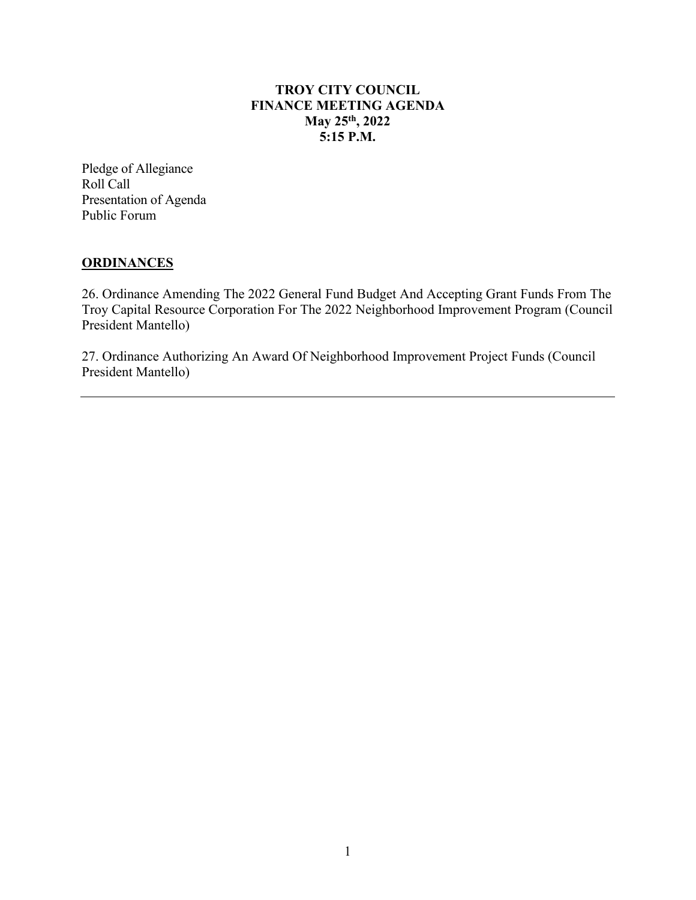## **TROY CITY COUNCIL FINANCE MEETING AGENDA May 25th, 2022 5:15 P.M.**

Pledge of Allegiance Roll Call Presentation of Agenda Public Forum

## **ORDINANCES**

26. Ordinance Amending The 2022 General Fund Budget And Accepting Grant Funds From The Troy Capital Resource Corporation For The 2022 Neighborhood Improvement Program (Council President Mantello)

27. Ordinance Authorizing An Award Of Neighborhood Improvement Project Funds (Council President Mantello)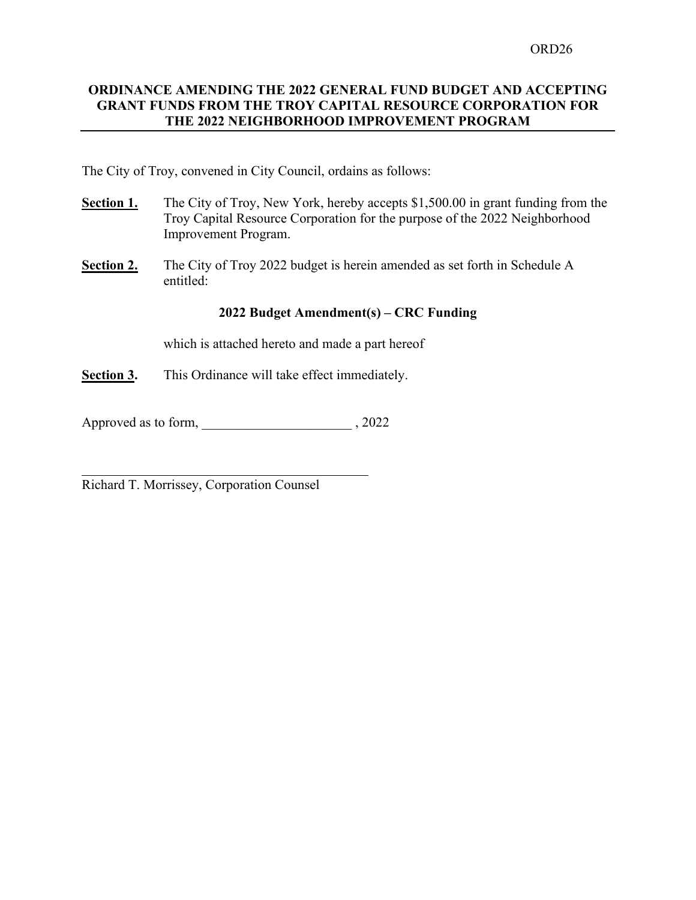#### **ORDINANCE AMENDING THE 2022 GENERAL FUND BUDGET AND ACCEPTING GRANT FUNDS FROM THE TROY CAPITAL RESOURCE CORPORATION FOR THE 2022 NEIGHBORHOOD IMPROVEMENT PROGRAM**

The City of Troy, convened in City Council, ordains as follows:

- **Section 1.** The City of Troy, New York, hereby accepts \$1,500.00 in grant funding from the Troy Capital Resource Corporation for the purpose of the 2022 Neighborhood Improvement Program.
- **Section 2.** The City of Troy 2022 budget is herein amended as set forth in Schedule A entitled:

#### **2022 Budget Amendment(s) – CRC Funding**

which is attached hereto and made a part hereof

**Section 3.** This Ordinance will take effect immediately.

Approved as to form, \_\_\_\_\_\_\_\_\_\_\_\_\_\_\_\_\_\_\_\_\_\_\_\_\_\_\_, 2022

Richard T. Morrissey, Corporation Counsel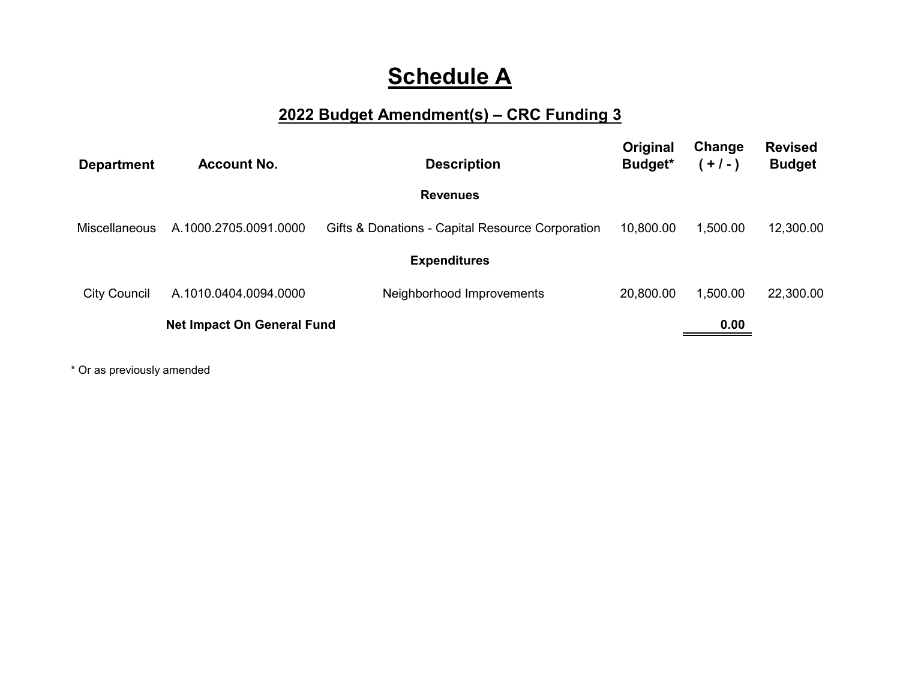# **Schedule A**

# **2022 Budget Amendment(s) – CRC Funding 3**

| <b>Department</b>                 | <b>Account No.</b>    | <b>Description</b>                               | Original<br>Budget* | Change<br>$(+/-)$ | <b>Revised</b><br><b>Budget</b> |
|-----------------------------------|-----------------------|--------------------------------------------------|---------------------|-------------------|---------------------------------|
|                                   |                       | <b>Revenues</b>                                  |                     |                   |                                 |
| Miscellaneous                     | A.1000.2705.0091.0000 | Gifts & Donations - Capital Resource Corporation | 10.800.00           | 1.500.00          | 12,300.00                       |
|                                   |                       | <b>Expenditures</b>                              |                     |                   |                                 |
| <b>City Council</b>               | A.1010.0404.0094.0000 | Neighborhood Improvements                        | 20,800.00           | 1,500.00          | 22,300.00                       |
| <b>Net Impact On General Fund</b> |                       |                                                  |                     | 0.00              |                                 |
|                                   |                       |                                                  |                     |                   |                                 |

\* Or as previously amended